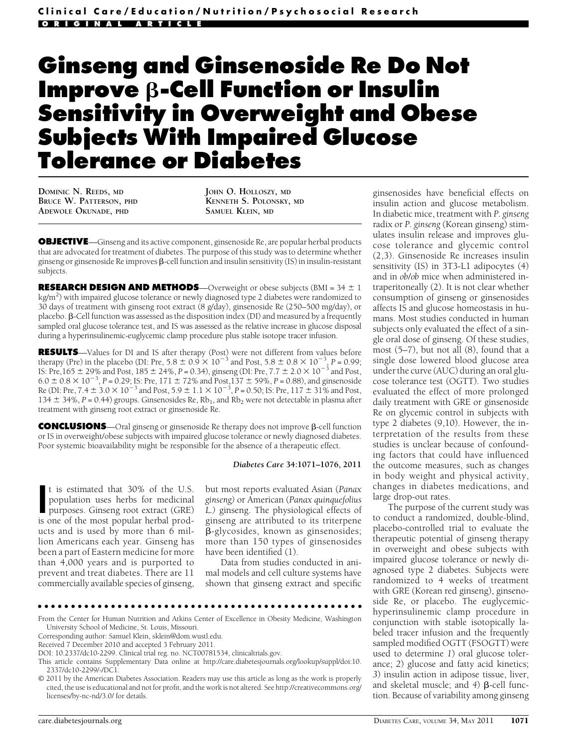# Ginseng and Ginsenoside Re Do Not **Improve**  $\beta$ **-Cell Function or Insulin** Sensitivity in Overweight and Obese Subjects With Impaired Glucose Tolerance or Diabetes

DOMINIC N. REEDS, MD BRUCE W. PATTERSON, PHD ADEWOLE OKUNADE, PHD

JOHN O. HOLLOSZY, MD KENNETH S. POLONSKY, MD SAMUEL KLEIN, MD

OBJECTIVE—Ginseng and its active component, ginsenoside Re, are popular herbal products that are advocated for treatment of diabetes. The purpose of this study was to determine whether ginseng or ginsenoside Re improves b-cell function and insulin sensitivity (IS) in insulin-resistant subjects.

**RESEARCH DESIGN AND METHODS**—Overweight or obese subjects (BMI =  $34 \pm 1$ ) kg/m<sup>2</sup>) with impaired glucose tolerance or newly diagnosed type 2 diabetes were randomized to 30 days of treatment with ginseng root extract (8 g/day), ginsenoside Re (250–500 mg/day), or placebo.  $\beta$ -Cell function was assessed as the disposition index (DI) and measured by a frequently sampled oral glucose tolerance test, and IS was assessed as the relative increase in glucose disposal during a hyperinsulinemic-euglycemic clamp procedure plus stable isotope tracer infusion.

RESULTS—Values for DI and IS after therapy (Post) were not different from values before therapy (Pre) in the placebo (DI: Pre,  $5.8 \pm 0.9 \times 10^{-3}$  and Post,  $5.8 \pm 0.8 \times 10^{-3}$ ,  $P = 0.99$ ; IS: Pre,  $165 \pm 29\%$  and Post,  $185 \pm 24\%$ ,  $P = 0.34$ ), ginseng (DI: Pre,  $7.7 \pm 2.0 \times 10^{-3}$  and Post,  $6.0 \pm 0.8 \times 10^{-3}$ , P = 0.29; IS: Pre, 171  $\pm$  72% and Post, 137  $\pm$  59%, P = 0.88), and ginsenoside Re (DI: Pre,  $7.4 \pm 3.0 \times 10^{-3}$  and Post,  $5.9 \pm 1.1 \times 10^{-3}$ ,  $P = 0.50$ ; IS: Pre,  $117 \pm 31\%$  and Post, 134  $\pm$  34%, P = 0.44) groups. Ginsenosides Re, Rb<sub>1</sub>, and Rb<sub>2</sub> were not detectable in plasma after treatment with ginseng root extract or ginsenoside Re.

CONCLUSIONS-Oral ginseng or ginsenoside Re therapy does not improve  $\beta$ -cell function or IS in overweight/obese subjects with impaired glucose tolerance or newly diagnosed diabetes. Poor systemic bioavailability might be responsible for the absence of a therapeutic effect.

#### Diabetes Care 34:1071–1076, 2011

It is estimated that 30% of the U.S.<br>population uses herbs for medicinal<br>purposes. Ginseng root extract (GRE)<br>is one of the most popular herbal prodt is estimated that 30% of the U.S. population uses herbs for medicinal purposes. Ginseng root extract (GRE) ucts and is used by more than 6 million Americans each year. Ginseng has been a part of Eastern medicine for more than 4,000 years and is purported to prevent and treat diabetes. There are 11 commercially available species of ginseng,

but most reports evaluated Asian (Panax ginseng) or American (Panax quinquefolius L.) ginseng. The physiological effects of ginseng are attributed to its triterpene b-glycosides, known as ginsenosides; more than 150 types of ginsenosides have been identified (1).

Data from studies conducted in animal models and cell culture systems have shown that ginseng extract and specific

ccccccccccccccccccccccccccccccccccccccccccccccccc

ginsenosides have beneficial effects on insulin action and glucose metabolism. In diabetic mice, treatment with P. ginseng radix or P. ginseng (Korean ginseng) stimulates insulin release and improves glucose tolerance and glycemic control (2,3). Ginsenoside Re increases insulin sensitivity (IS) in 3T3-L1 adipocytes (4) and in ob/ob mice when administered intraperitoneally (2). It is not clear whether consumption of ginseng or ginsenosides affects IS and glucose homeostasis in humans. Most studies conducted in human subjects only evaluated the effect of a single oral dose of ginseng. Of these studies, most (5–7), but not all (8), found that a single dose lowered blood glucose area under the curve (AUC) during an oral glucose tolerance test (OGTT). Two studies evaluated the effect of more prolonged daily treatment with GRE or ginsenoside Re on glycemic control in subjects with type 2 diabetes (9,10). However, the interpretation of the results from these studies is unclear because of confounding factors that could have influenced the outcome measures, such as changes in body weight and physical activity, changes in diabetes medications, and large drop-out rates.

The purpose of the current study was to conduct a randomized, double-blind, placebo-controlled trial to evaluate the therapeutic potential of ginseng therapy in overweight and obese subjects with impaired glucose tolerance or newly diagnosed type 2 diabetes. Subjects were randomized to 4 weeks of treatment with GRE (Korean red ginseng), ginsenoside Re, or placebo. The euglycemichyperinsulinemic clamp procedure in conjunction with stable isotopically labeled tracer infusion and the frequently sampled modified OGTT (FSOGTT) were used to determine 1) oral glucose tolerance; 2) glucose and fatty acid kinetics; 3) insulin action in adipose tissue, liver, and skeletal muscle; and  $4)$   $\beta$ -cell function. Because of variability among ginseng

From the Center for Human Nutrition and Atkins Center of Excellence in Obesity Medicine, Washington University School of Medicine, St. Louis, Missouri.

Corresponding author: Samuel Klein, sklein@dom.wustl.edu.

Received 7 December 2010 and accepted 3 February 2011.

DOI: 10.2337/dc10-2299. Clinical trial reg. no. NCT00781534, clinicaltrials.gov.

This article contains Supplementary Data online at http://care.diabetesjournals.org/lookup/suppl/doi:10. 2337/dc10-2299/-/DC1.

<sup>© 2011</sup> by the American Diabetes Association. Readers may use this article as long as the work is properly cited, the use is educational and not for profit, and the work is not altered. See http://creativecommons.org/ licenses/by-nc-nd/3.0/ for details.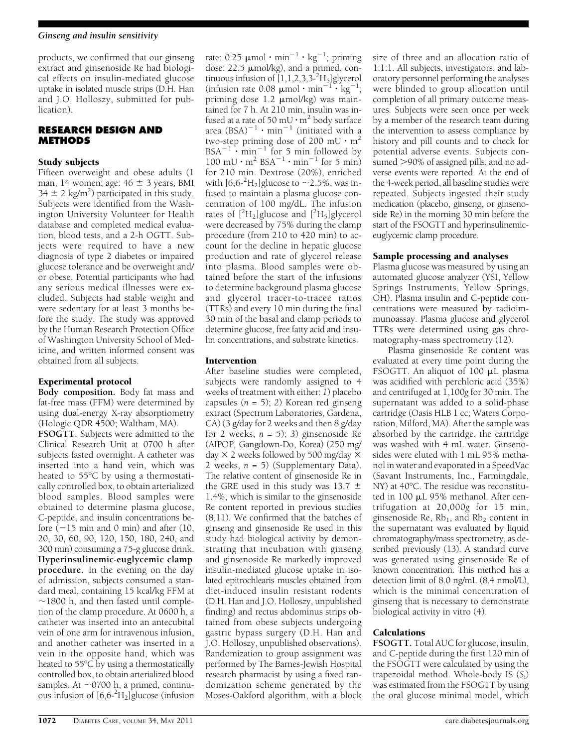## Ginseng and insulin sensitivity

products, we confirmed that our ginseng extract and ginsenoside Re had biological effects on insulin-mediated glucose uptake in isolated muscle strips (D.H. Han and J.O. Holloszy, submitted for publication).

# RESEARCH DESIGN AND METHODS

## Study subjects

Fifteen overweight and obese adults (1 man, 14 women; age:  $46 \pm 3$  years, BMI  $34 \pm 2$  kg/m<sup>2</sup>) participated in this study. Subjects were identified from the Washington University Volunteer for Health database and completed medical evaluation, blood tests, and a 2-h OGTT. Subjects were required to have a new diagnosis of type 2 diabetes or impaired glucose tolerance and be overweight and/ or obese. Potential participants who had any serious medical illnesses were excluded. Subjects had stable weight and were sedentary for at least 3 months before the study. The study was approved by the Human Research Protection Office of Washington University School of Medicine, and written informed consent was obtained from all subjects.

# Experimental protocol

Body composition. Body fat mass and fat-free mass (FFM) were determined by using dual-energy X-ray absorptiometry (Hologic QDR 4500; Waltham, MA). FSOGTT. Subjects were admitted to the Clinical Research Unit at 0700 h after subjects fasted overnight. A catheter was inserted into a hand vein, which was heated to 55°C by using a thermostatically controlled box, to obtain arterialized blood samples. Blood samples were obtained to determine plasma glucose, C-peptide, and insulin concentrations before  $(-15 \text{ min and } 0 \text{ min})$  and after  $(10, 10)$ 20, 30, 60, 90, 120, 150, 180, 240, and 300 min) consuming a 75-g glucose drink. Hyperinsulinemic-euglycemic clamp procedure. In the evening on the day of admission, subjects consumed a standard meal, containing 15 kcal/kg FFM at  $\sim$ 1800 h, and then fasted until completion of the clamp procedure. At 0600 h, a catheter was inserted into an antecubital vein of one arm for intravenous infusion, and another catheter was inserted in a vein in the opposite hand, which was heated to 55°C by using a thermostatically controlled box, to obtain arterialized blood samples. At  $\sim$ 0700 h, a primed, continuous infusion of  $[6,6^{-2}H_2]$  glucose (infusion

rate: 0.25  $\mu$ mol·min $^{-1}$ ·kg $^{-1}$ ; priming dose: 22.5  $\mu$ mol/kg), and a primed, continuous infusion of [1,1,2,3,3<sup>-2</sup>H<sub>5</sub>]glycerol (infusion rate  $0.08 \mu$  mol · min<sup>-1</sup> · kg<sup>-1</sup>; priming dose  $1.2 \mu$ mol/kg) was maintained for 7 h. At 210 min, insulin was infused at a rate of 50 mU  $\cdot$  m<sup>2</sup> body surface area  $(BSA)^{-1}$  · min<sup>-1</sup> (initiated with a two-step priming dose of 200 mU  $\cdot$  m<sup>2</sup>  $BSA^{-1} \cdot \text{min}^{-1}$  for 5 min followed by  $100 \text{ mU} \cdot \text{m}^2 \text{ BSA}^{-1} \cdot \text{min}^{-1}$  for 5 min) for 210 min. Dextrose (20%), enriched with  $[6,6^{-2}H_2]$  glucose to  $\sim$  2.5%, was infused to maintain a plasma glucose concentration of 100 mg/dL. The infusion rates of  $[^{2}H_{2}]$ glucose and  $[^{2}H_{5}]$ glycerol were decreased by 75% during the clamp procedure (from 210 to 420 min) to account for the decline in hepatic glucose production and rate of glycerol release into plasma. Blood samples were obtained before the start of the infusions to determine background plasma glucose and glycerol tracer-to-tracee ratios (TTRs) and every 10 min during the final 30 min of the basal and clamp periods to determine glucose, free fatty acid and insulin concentrations, and substrate kinetics.

# Intervention

After baseline studies were completed, subjects were randomly assigned to 4 weeks of treatment with either: 1) placebo capsules  $(n = 5)$ ; 2) Korean red ginseng extract (Spectrum Laboratories, Gardena, CA) (3 g/day for 2 weeks and then 8 g/day for 2 weeks,  $n = 5$ ; 3) ginsenoside Re (AIPOP, Gangdown-Do, Korea) (250 mg/ day  $\times$  2 weeks followed by 500 mg/day  $\times$ 2 weeks,  $n = 5$ ) (Supplementary Data). The relative content of ginsenoside Re in the GRE used in this study was 13.7  $\pm$ 1.4%, which is similar to the ginsenoside Re content reported in previous studies (8,11). We confirmed that the batches of ginseng and ginsenoside Re used in this study had biological activity by demonstrating that incubation with ginseng and ginsenoside Re markedly improved insulin-mediated glucose uptake in isolated epitrochlearis muscles obtained from diet-induced insulin resistant rodents (D.H. Han and J.O. Holloszy, unpublished finding) and rectus abdominus strips obtained from obese subjects undergoing gastric bypass surgery (D.H. Han and J.O. Holloszy, unpublished observations). Randomization to group assignment was performed by The Barnes-Jewish Hospital research pharmacist by using a fixed randomization scheme generated by the Moses-Oakford algorithm, with a block

size of three and an allocation ratio of 1:1:1. All subjects, investigators, and laboratory personnel performing the analyses were blinded to group allocation until completion of all primary outcome measures. Subjects were seen once per week by a member of the research team during the intervention to assess compliance by history and pill counts and to check for potential adverse events. Subjects consumed >90% of assigned pills, and no adverse events were reported. At the end of the 4-week period, all baseline studies were repeated. Subjects ingested their study medication (placebo, ginseng, or ginsenoside Re) in the morning 30 min before the start of the FSOGTT and hyperinsulinemiceuglycemic clamp procedure.

# Sample processing and analyses

Plasma glucose was measured by using an automated glucose analyzer (YSI, Yellow Springs Instruments, Yellow Springs, OH). Plasma insulin and C-peptide concentrations were measured by radioimmunoassay. Plasma glucose and glycerol TTRs were determined using gas chromatography-mass spectrometry (12).

Plasma ginsenoside Re content was evaluated at every time point during the FSOGTT. An aliquot of 100 mL plasma was acidified with perchloric acid (35%) and centrifuged at 1,100g for 30 min. The supernatant was added to a solid-phase cartridge (Oasis HLB 1 cc; Waters Corporation, Milford, MA). After the sample was absorbed by the cartridge, the cartridge was washed with 4 mL water. Ginsenosides were eluted with 1 mL 95% methanol in water and evaporated in a SpeedVac (Savant Instruments, Inc., Farmingdale, NY) at 40°C. The residue was reconstituted in 100 mL 95% methanol. After centrifugation at 20,000g for 15 min, ginsenoside Re,  $Rb_1$ , and  $Rb_2$  content in the supernatant was evaluated by liquid chromatography/mass spectrometry, as described previously (13). A standard curve was generated using ginsenoside Re of known concentration. This method has a detection limit of 8.0 ng/mL (8.4 nmol/L), which is the minimal concentration of ginseng that is necessary to demonstrate biological activity in vitro (4).

# Calculations

FSOGTT. Total AUC for glucose, insulin, and C-peptide during the first 120 min of the FSOGTT were calculated by using the trapezoidal method. Whole-body IS (Si) was estimated from the FSOGTT by using the oral glucose minimal model, which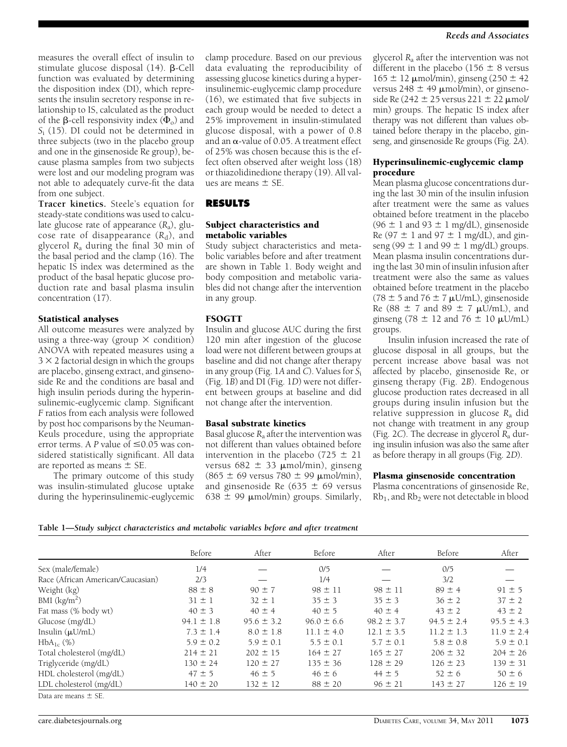measures the overall effect of insulin to stimulate glucose disposal  $(14)$ .  $\beta$ -Cell function was evaluated by determining the disposition index (DI), which represents the insulin secretory response in relationship to IS, calculated as the product of the  $\beta$ -cell responsivity index  $(\Phi_0)$  and  $S<sub>i</sub>$  (15). DI could not be determined in three subjects (two in the placebo group and one in the ginsenoside Re group), because plasma samples from two subjects were lost and our modeling program was not able to adequately curve-fit the data from one subject.

Tracer kinetics. Steele's equation for steady-state conditions was used to calculate glucose rate of appearance  $(R_a)$ , glucose rate of disappearance  $(R_d)$ , and glycerol  $R_a$  during the final 30 min of the basal period and the clamp (16). The hepatic IS index was determined as the product of the basal hepatic glucose production rate and basal plasma insulin concentration (17).

#### Statistical analyses

All outcome measures were analyzed by using a three-way (group  $\times$  condition) ANOVA with repeated measures using a  $3 \times 2$  factorial design in which the groups are placebo, ginseng extract, and ginsenoside Re and the conditions are basal and high insulin periods during the hyperinsulinemic-euglycemic clamp. Significant F ratios from each analysis were followed by post hoc comparisons by the Neuman-Keuls procedure, using the appropriate error terms. A P value of  $\leq 0.05$  was considered statistically significant. All data are reported as means  $\pm$  SE.

The primary outcome of this study was insulin-stimulated glucose uptake during the hyperinsulinemic-euglycemic clamp procedure. Based on our previous data evaluating the reproducibility of assessing glucose kinetics during a hyperinsulinemic-euglycemic clamp procedure (16), we estimated that five subjects in each group would be needed to detect a 25% improvement in insulin-stimulated glucose disposal, with a power of 0.8 and an  $\alpha$ -value of 0.05. A treatment effect of 25% was chosen because this is the effect often observed after weight loss (18) or thiazolidinedione therapy (19). All values are means  $\pm$  SE.

# RESULTS

## Subject characteristics and metabolic variables

Study subject characteristics and metabolic variables before and after treatment are shown in Table 1. Body weight and body composition and metabolic variables did not change after the intervention in any group.

#### FSOGTT

Insulin and glucose AUC during the first 120 min after ingestion of the glucose load were not different between groups at baseline and did not change after therapy in any group (Fig. 1A and C). Values for  $S_i$ (Fig. 1B) and DI (Fig. 1D) were not different between groups at baseline and did not change after the intervention.

## Basal substrate kinetics

Basal glucose  $R_a$  after the intervention was not different than values obtained before intervention in the placebo (725  $\pm$  21 versus 682  $\pm$  33 µmol/min), ginseng  $(865 \pm 69 \text{ versus } 780 \pm 99 \text{ \mu} \text{mol/min})$ , and ginsenoside Re (635  $\pm$  69 versus 638  $\pm$  99  $\mu$ mol/min) groups. Similarly,

glycerol  $R_a$  after the intervention was not different in the placebo (156  $\pm$  8 versus  $165 \pm 12 \mu$ mol/min), ginseng (250  $\pm$  42 versus 248  $\pm$  49  $\mu$ mol/min), or ginsenoside Re ( $242 \pm 25$  versus  $221 \pm 22$   $\mu$ mol/ min) groups. The hepatic IS index after therapy was not different than values obtained before therapy in the placebo, ginseng, and ginsenoside Re groups (Fig. 2A).

## Hyperinsulinemic-euglycemic clamp procedure

Mean plasma glucose concentrations during the last 30 min of the insulin infusion after treatment were the same as values obtained before treatment in the placebo (96  $\pm$  1 and 93  $\pm$  1 mg/dL), ginsenoside Re (97  $\pm$  1 and 97  $\pm$  1 mg/dL), and ginseng (99  $\pm$  1 and 99  $\pm$  1 mg/dL) groups. Mean plasma insulin concentrations during the last 30 min of insulin infusion after treatment were also the same as values obtained before treatment in the placebo  $(78 \pm 5 \text{ and } 76 \pm 7 \text{ }\mu\text{U/mL})$ , ginsenoside Re  $(88 \pm 7 \text{ and } 89 \pm 7 \text{ }\mu\text{U/mL})$ , and ginseng (78  $\pm$  12 and 76  $\pm$  10  $\mu$ U/mL) groups.

Insulin infusion increased the rate of glucose disposal in all groups, but the percent increase above basal was not affected by placebo, ginsenoside Re, or ginseng therapy (Fig. 2B). Endogenous glucose production rates decreased in all groups during insulin infusion but the relative suppression in glucose  $R_a$  did not change with treatment in any group (Fig. 2C). The decrease in glycerol  $R_a$  during insulin infusion was also the same after as before therapy in all groups (Fig. 2D).

#### Plasma ginsenoside concentration

Plasma concentrations of ginsenoside Re, Rb1, and Rb2 were not detectable in blood

|  | Table 1—Study subject characteristics and metabolic variables before and after treatment |  |  |  |
|--|------------------------------------------------------------------------------------------|--|--|--|
|  |                                                                                          |  |  |  |

|                                    | Before         | After          | Before         | After          | Before         | After          |
|------------------------------------|----------------|----------------|----------------|----------------|----------------|----------------|
| Sex (male/female)                  | 1/4            |                | 0/5            |                | 0/5            |                |
| Race (African American/Caucasian)  | 2/3            |                | 1/4            |                | 3/2            |                |
| Weight (kg)                        | $88 \pm 8$     | $90 \pm 7$     | $98 \pm 11$    | $98 \pm 11$    | $89 \pm 4$     | $91 \pm 5$     |
| BMI $\frac{\text{kg}}{\text{m}^2}$ | $31 \pm 1$     | $32 \pm 1$     | $35 \pm 3$     | $35 \pm 3$     | $36 \pm 2$     | $37 \pm 2$     |
| Fat mass (% body wt)               | $40 \pm 3$     | $40 \pm 4$     | $40 \pm 5$     | $40 \pm 4$     | $43 \pm 2$     | $43 \pm 2$     |
| Glucose (mg/dL)                    | $94.1 \pm 1.8$ | $95.6 \pm 3.2$ | $96.0 \pm 6.6$ | $98.2 \pm 3.7$ | $94.5 \pm 2.4$ | $95.5 \pm 4.3$ |
| Insulin $(\mu U/mL)$               | $7.3 \pm 1.4$  | $8.0 \pm 1.8$  | $11.1 \pm 4.0$ | $12.1 \pm 3.5$ | $11.2 \pm 1.3$ | $11.9 \pm 2.4$ |
| $HbA_{1c}$ (%)                     | $5.9 \pm 0.2$  | $5.9 \pm 0.1$  | $5.5 \pm 0.1$  | $5.7 \pm 0.1$  | $5.8 \pm 0.8$  | $5.9 \pm 0.1$  |
| Total cholesterol (mg/dL)          | $214 \pm 21$   | $202 \pm 15$   | $164 \pm 27$   | $165 \pm 27$   | $206 \pm 32$   | $204 \pm 26$   |
| Triglyceride (mg/dL)               | $130 \pm 24$   | $120 \pm 27$   | $135 \pm 36$   | $128 \pm 29$   | $126 \pm 23$   | $139 \pm 31$   |
| HDL cholesterol (mg/dL)            | $47 \pm 5$     | $46 \pm 5$     | $46 \pm 6$     | $44 \pm 5$     | $52 \pm 6$     | $50 \pm 6$     |
| LDL cholesterol (mg/dL)            | $140 \pm 20$   | $132 \pm 12$   | $88 \pm 20$    | $96 \pm 21$    | $143 \pm 27$   | $126 \pm 19$   |

Data are means  $\pm$  SE.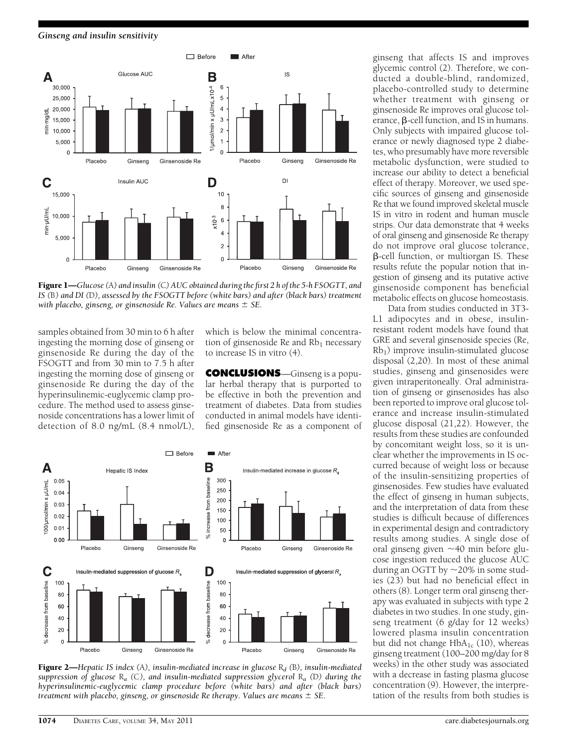Ginseng and insulin sensitivity



Figure 1—Glucose (A) and insulin (C) AUC obtained during the first 2 h of the 5-h FSOGTT, and IS (B) and DI (D), assessed by the FSOGTT before (white bars) and after (black bars) treatment with placebo, ginseng, or ginsenoside Re. Values are means  $\pm$  SE.

samples obtained from 30 min to 6 h after ingesting the morning dose of ginseng or ginsenoside Re during the day of the FSOGTT and from 30 min to 7.5 h after ingesting the morning dose of ginseng or ginsenoside Re during the day of the hyperinsulinemic-euglycemic clamp procedure. The method used to assess ginsenoside concentrations has a lower limit of detection of 8.0 ng/mL (8.4 nmol/L),

which is below the minimal concentration of ginsenoside Re and  $Rb_1$  necessary to increase IS in vitro (4).

CONCLUSIONS—Ginseng is a popular herbal therapy that is purported to be effective in both the prevention and treatment of diabetes. Data from studies conducted in animal models have identified ginsenoside Re as a component of



**Figure 2—**Hepatic IS index (A), insulin-mediated increase in glucose  $R_d$  (B), insulin-mediated suppression of glucose  $R_a$  (C), and insulin-mediated suppression glycerol  $R_a$  (D) during the hyperinsulinemic-euglycemic clamp procedure before (white bars) and after (black bars) treatment with placebo, ginseng, or ginsenoside Re therapy. Values are means  $\pm$  SE.

ginseng that affects IS and improves glycemic control (2). Therefore, we conducted a double-blind, randomized, placebo-controlled study to determine whether treatment with ginseng or ginsenoside Re improves oral glucose tolerance,  $\beta$ -cell function, and IS in humans. Only subjects with impaired glucose tolerance or newly diagnosed type 2 diabetes, who presumably have more reversible metabolic dysfunction, were studied to increase our ability to detect a beneficial effect of therapy. Moreover, we used specific sources of ginseng and ginsenoside Re that we found improved skeletal muscle IS in vitro in rodent and human muscle strips. Our data demonstrate that 4 weeks of oral ginseng and ginsenoside Re therapy do not improve oral glucose tolerance,  $\beta$ -cell function, or multiorgan IS. These results refute the popular notion that ingestion of ginseng and its putative active ginsenoside component has beneficial metabolic effects on glucose homeostasis.

Data from studies conducted in 3T3- L1 adipocytes and in obese, insulinresistant rodent models have found that GRE and several ginsenoside species (Re,  $Rb_1$ ) improve insulin-stimulated glucose disposal (2,20). In most of these animal studies, ginseng and ginsenosides were given intraperitoneally. Oral administration of ginseng or ginsenosides has also been reported to improve oral glucose tolerance and increase insulin-stimulated glucose disposal (21,22). However, the results from these studies are confounded by concomitant weight loss, so it is unclear whether the improvements in IS occurred because of weight loss or because of the insulin-sensitizing properties of ginsenosides. Few studies have evaluated the effect of ginseng in human subjects, and the interpretation of data from these studies is difficult because of differences in experimental design and contradictory results among studies. A single dose of oral ginseng given  $\sim$ 40 min before glucose ingestion reduced the glucose AUC during an OGTT by  $\sim$ 20% in some studies (23) but had no beneficial effect in others (8). Longer term oral ginseng therapy was evaluated in subjects with type 2 diabetes in two studies. In one study, ginseng treatment (6 g/day for 12 weeks) lowered plasma insulin concentration but did not change  $HbA_{1c}$  (10), whereas ginseng treatment (100–200 mg/day for 8 weeks) in the other study was associated with a decrease in fasting plasma glucose concentration (9). However, the interpretation of the results from both studies is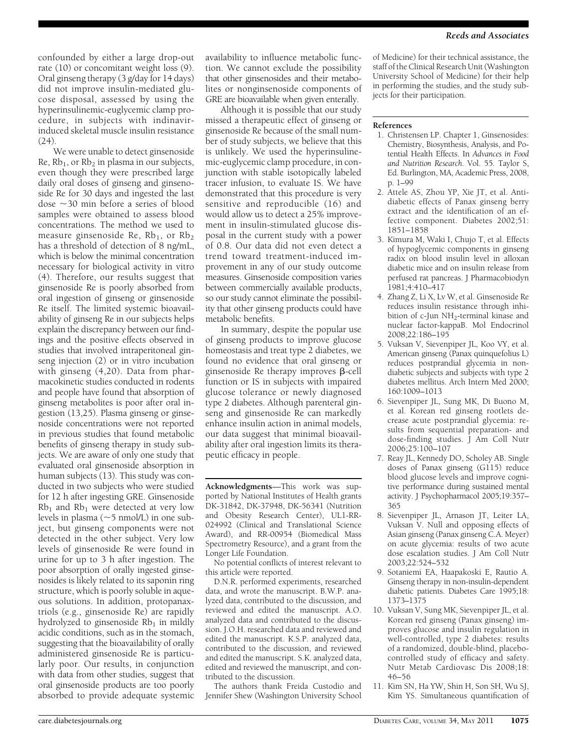confounded by either a large drop-out rate (10) or concomitant weight loss (9). Oral ginseng therapy (3 g/day for 14 days) did not improve insulin-mediated glucose disposal, assessed by using the hyperinsulinemic-euglycemic clamp procedure, in subjects with indinavirinduced skeletal muscle insulin resistance (24).

We were unable to detect ginsenoside  $Re$ ,  $Rb_1$ , or  $Rb_2$  in plasma in our subjects, even though they were prescribed large daily oral doses of ginseng and ginsenoside Re for 30 days and ingested the last dose  $\sim$ 30 min before a series of blood samples were obtained to assess blood concentrations. The method we used to measure ginsenoside Re,  $Rb_1$ , or  $Rb_2$ has a threshold of detection of 8 ng/mL, which is below the minimal concentration necessary for biological activity in vitro (4). Therefore, our results suggest that ginsenoside Re is poorly absorbed from oral ingestion of ginseng or ginsenoside Re itself. The limited systemic bioavailability of ginseng Re in our subjects helps explain the discrepancy between our findings and the positive effects observed in studies that involved intraperitoneal ginseng injection (2) or in vitro incubation with ginseng (4,20). Data from pharmacokinetic studies conducted in rodents and people have found that absorption of ginseng metabolites is poor after oral ingestion (13,25). Plasma ginseng or ginsenoside concentrations were not reported in previous studies that found metabolic benefits of ginseng therapy in study subjects. We are aware of only one study that evaluated oral ginsenoside absorption in human subjects (13). This study was conducted in two subjects who were studied for 12 h after ingesting GRE. Ginsenoside  $Rb<sub>1</sub>$  and  $Rb<sub>1</sub>$  were detected at very low levels in plasma ( $\sim$ 5 nmol/L) in one subject, but ginseng components were not detected in the other subject. Very low levels of ginsenoside Re were found in urine for up to 3 h after ingestion. The poor absorption of orally ingested ginsenosides is likely related to its saponin ring structure, which is poorly soluble in aqueous solutions. In addition, protopanaxtriols (e.g., ginsenoside Re) are rapidly hydrolyzed to ginsenoside  $Rb_1$  in mildly acidic conditions, such as in the stomach, suggesting that the bioavailability of orally administered ginsenoside Re is particularly poor. Our results, in conjunction with data from other studies, suggest that oral ginsenoside products are too poorly absorbed to provide adequate systemic

availability to influence metabolic function. We cannot exclude the possibility that other ginsenosides and their metabolites or nonginsenoside components of GRE are bioavailable when given enterally.

Although it is possible that our study missed a therapeutic effect of ginseng or ginsenoside Re because of the small number of study subjects, we believe that this is unlikely. We used the hyperinsulinemic-euglycemic clamp procedure, in conjunction with stable isotopically labeled tracer infusion, to evaluate IS. We have demonstrated that this procedure is very sensitive and reproducible (16) and would allow us to detect a 25% improvement in insulin-stimulated glucose disposal in the current study with a power of 0.8. Our data did not even detect a trend toward treatment-induced improvement in any of our study outcome measures. Ginsenoside composition varies between commercially available products, so our study cannot eliminate the possibility that other ginseng products could have metabolic benefits.

In summary, despite the popular use of ginseng products to improve glucose homeostasis and treat type 2 diabetes, we found no evidence that oral ginseng or ginsenoside Re therapy improves  $\beta$ -cell function or IS in subjects with impaired glucose tolerance or newly diagnosed type 2 diabetes. Although parenteral ginseng and ginsenoside Re can markedly enhance insulin action in animal models, our data suggest that minimal bioavailability after oral ingestion limits its therapeutic efficacy in people.

Acknowledgments—This work was supported by National Institutes of Health grants DK-31842, DK-37948, DK-56341 (Nutrition and Obesity Research Center), UL1-RR-024992 (Clinical and Translational Science Award), and RR-00954 (Biomedical Mass Spectrometry Resource), and a grant from the Longer Life Foundation.

No potential conflicts of interest relevant to this article were reported.

D.N.R. performed experiments, researched data, and wrote the manuscript. B.W.P. analyzed data, contributed to the discussion, and reviewed and edited the manuscript. A.O. analyzed data and contributed to the discussion. J.O.H. researched data and reviewed and edited the manuscript. K.S.P. analyzed data, contributed to the discussion, and reviewed and edited the manuscript. S.K. analyzed data, edited and reviewed the manuscript, and contributed to the discussion.

The authors thank Freida Custodio and Jennifer Shew (Washington University School

of Medicine) for their technical assistance, the staff of the Clinical Research Unit (Washington University School of Medicine) for their help in performing the studies, and the study subjects for their participation.

#### References

- 1. Christensen LP. Chapter 1, Ginsenosides: Chemistry, Biosynthesis, Analysis, and Potential Health Effects. In Advances in Food and Nutrition Research. Vol. 55. Taylor S, Ed. Burlington, MA, Academic Press, 2008, p. 1–99
- 2. Attele AS, Zhou YP, Xie JT, et al. Antidiabetic effects of Panax ginseng berry extract and the identification of an effective component. Diabetes 2002;51: 1851–1858
- 3. Kimura M, Waki I, Chujo T, et al. Effects of hypoglycemic components in ginseng radix on blood insulin level in alloxan diabetic mice and on insulin release from perfused rat pancreas. J Pharmacobiodyn 1981;4:410–417
- 4. Zhang Z, Li X, Lv W, et al. Ginsenoside Re reduces insulin resistance through inhibition of c-Jun NH<sub>2</sub>-terminal kinase and nuclear factor-kappaB. Mol Endocrinol 2008;22:186–195
- 5. Vuksan V, Sievenpiper JL, Koo VY, et al. American ginseng (Panax quinquefolius L) reduces postprandial glycemia in nondiabetic subjects and subjects with type 2 diabetes mellitus. Arch Intern Med 2000; 160:1009–1013
- 6. Sievenpiper JL, Sung MK, Di Buono M, et al. Korean red ginseng rootlets decrease acute postprandial glycemia: results from sequential preparation- and dose-finding studies. J Am Coll Nutr 2006;25:100–107
- 7. Reay JL, Kennedy DO, Scholey AB. Single doses of Panax ginseng (G115) reduce blood glucose levels and improve cognitive performance during sustained mental activity. J Psychopharmacol 2005;19:357– 365
- 8. Sievenpiper JL, Arnason JT, Leiter LA, Vuksan V. Null and opposing effects of Asian ginseng (Panax ginseng C.A. Meyer) on acute glycemia: results of two acute dose escalation studies. J Am Coll Nutr 2003;22:524–532
- 9. Sotaniemi EA, Haapakoski E, Rautio A. Ginseng therapy in non-insulin-dependent diabetic patients. Diabetes Care 1995;18: 1373–1375
- 10. Vuksan V, Sung MK, Sievenpiper JL, et al. Korean red ginseng (Panax ginseng) improves glucose and insulin regulation in well-controlled, type 2 diabetes: results of a randomized, double-blind, placebocontrolled study of efficacy and safety. Nutr Metab Cardiovasc Dis 2008;18: 46–56
- 11. Kim SN, Ha YW, Shin H, Son SH, Wu SJ, Kim YS. Simultaneous quantification of